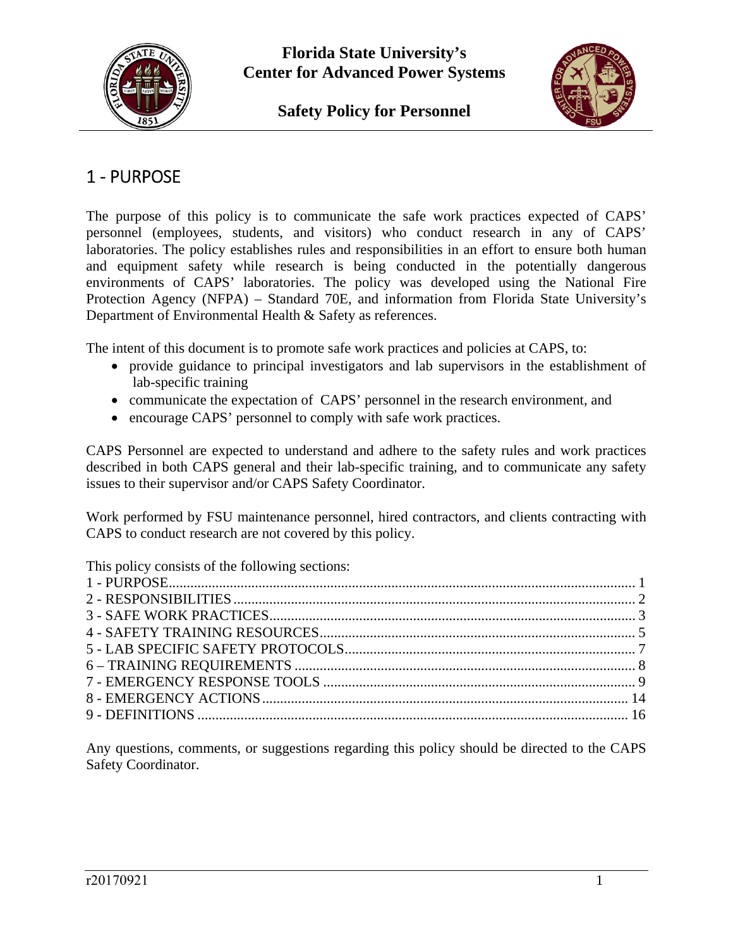

**Safety Policy for Personnel** 



## 1 ‐ PURPOSE

The purpose of this policy is to communicate the safe work practices expected of CAPS' personnel (employees, students, and visitors) who conduct research in any of CAPS' laboratories. The policy establishes rules and responsibilities in an effort to ensure both human and equipment safety while research is being conducted in the potentially dangerous environments of CAPS' laboratories. The policy was developed using the National Fire Protection Agency (NFPA) – Standard 70E, and information from Florida State University's Department of Environmental Health & Safety as references.

The intent of this document is to promote safe work practices and policies at CAPS, to:

- provide guidance to principal investigators and lab supervisors in the establishment of lab-specific training
- communicate the expectation of CAPS' personnel in the research environment, and
- encourage CAPS' personnel to comply with safe work practices.

CAPS Personnel are expected to understand and adhere to the safety rules and work practices described in both CAPS general and their lab-specific training, and to communicate any safety issues to their supervisor and/or CAPS Safety Coordinator.

Work performed by FSU maintenance personnel, hired contractors, and clients contracting with CAPS to conduct research are not covered by this policy.

This policy consists of the following sections:

Any questions, comments, or suggestions regarding this policy should be directed to the CAPS Safety Coordinator.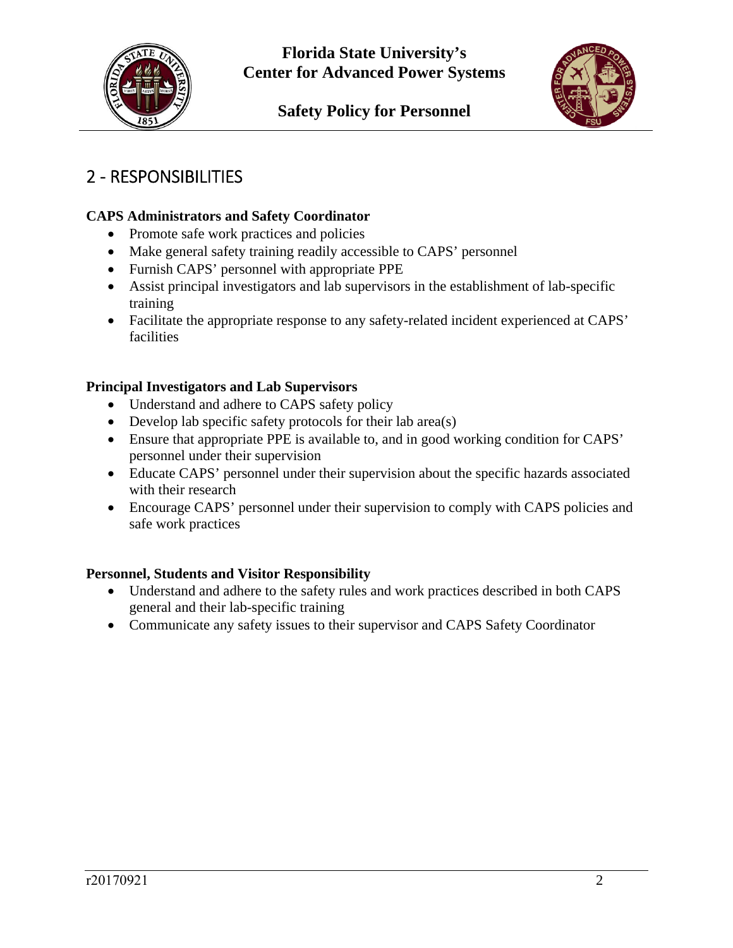



# 2 ‐ RESPONSIBILITIES

## **CAPS Administrators and Safety Coordinator**

- Promote safe work practices and policies
- Make general safety training readily accessible to CAPS' personnel
- Furnish CAPS' personnel with appropriate PPE
- Assist principal investigators and lab supervisors in the establishment of lab-specific training
- Facilitate the appropriate response to any safety-related incident experienced at CAPS' facilities

## **Principal Investigators and Lab Supervisors**

- Understand and adhere to CAPS safety policy
- Develop lab specific safety protocols for their lab area(s)
- Ensure that appropriate PPE is available to, and in good working condition for CAPS' personnel under their supervision
- Educate CAPS' personnel under their supervision about the specific hazards associated with their research
- Encourage CAPS' personnel under their supervision to comply with CAPS policies and safe work practices

### **Personnel, Students and Visitor Responsibility**

- Understand and adhere to the safety rules and work practices described in both CAPS general and their lab-specific training
- Communicate any safety issues to their supervisor and CAPS Safety Coordinator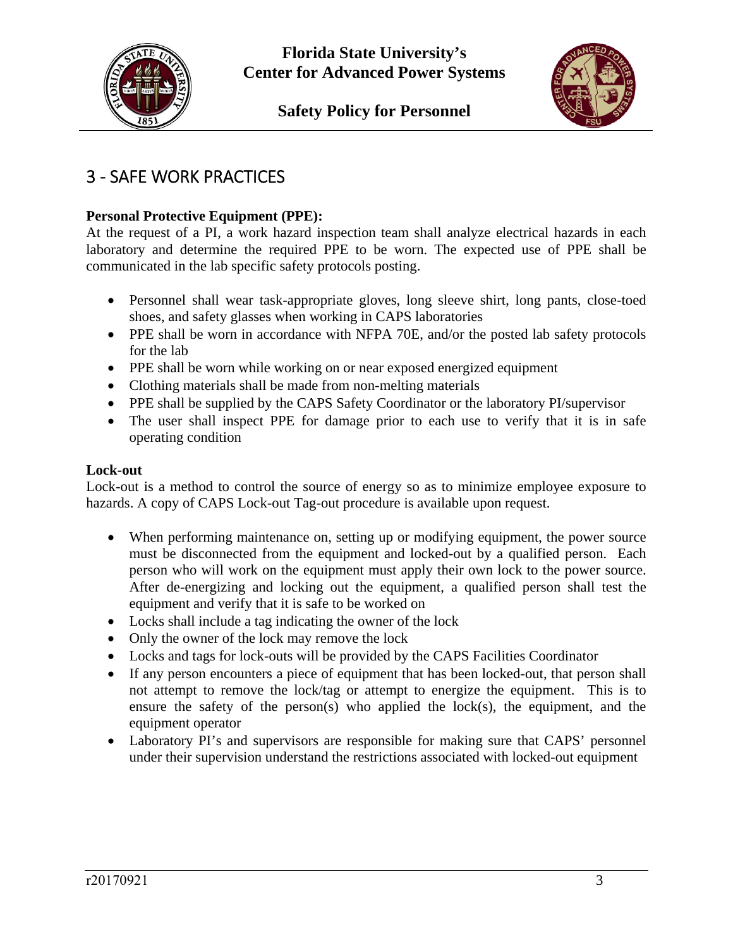



# 3 ‐ SAFE WORK PRACTICES

## **Personal Protective Equipment (PPE):**

At the request of a PI, a work hazard inspection team shall analyze electrical hazards in each laboratory and determine the required PPE to be worn. The expected use of PPE shall be communicated in the lab specific safety protocols posting.

- Personnel shall wear task-appropriate gloves, long sleeve shirt, long pants, close-toed shoes, and safety glasses when working in CAPS laboratories
- PPE shall be worn in accordance with NFPA 70E, and/or the posted lab safety protocols for the lab
- PPE shall be worn while working on or near exposed energized equipment
- Clothing materials shall be made from non-melting materials
- PPE shall be supplied by the CAPS Safety Coordinator or the laboratory PI/supervisor
- The user shall inspect PPE for damage prior to each use to verify that it is in safe operating condition

#### **Lock-out**

Lock-out is a method to control the source of energy so as to minimize employee exposure to hazards. A copy of CAPS Lock-out Tag-out procedure is available upon request.

- When performing maintenance on, setting up or modifying equipment, the power source must be disconnected from the equipment and locked-out by a qualified person. Each person who will work on the equipment must apply their own lock to the power source. After de-energizing and locking out the equipment, a qualified person shall test the equipment and verify that it is safe to be worked on
- Locks shall include a tag indicating the owner of the lock
- Only the owner of the lock may remove the lock
- Locks and tags for lock-outs will be provided by the CAPS Facilities Coordinator
- If any person encounters a piece of equipment that has been locked-out, that person shall not attempt to remove the lock/tag or attempt to energize the equipment. This is to ensure the safety of the person(s) who applied the lock(s), the equipment, and the equipment operator
- Laboratory PI's and supervisors are responsible for making sure that CAPS' personnel under their supervision understand the restrictions associated with locked-out equipment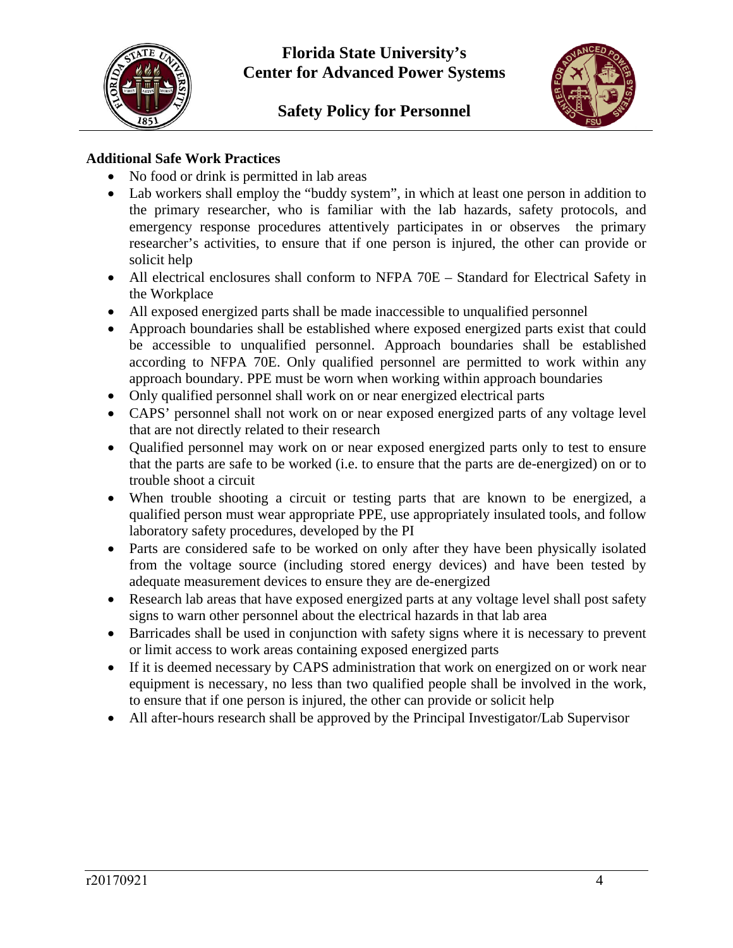



### **Additional Safe Work Practices**

- No food or drink is permitted in lab areas
- Lab workers shall employ the "buddy system", in which at least one person in addition to the primary researcher, who is familiar with the lab hazards, safety protocols, and emergency response procedures attentively participates in or observes the primary researcher's activities, to ensure that if one person is injured, the other can provide or solicit help
- All electrical enclosures shall conform to NFPA 70E Standard for Electrical Safety in the Workplace
- All exposed energized parts shall be made inaccessible to unqualified personnel
- Approach boundaries shall be established where exposed energized parts exist that could be accessible to unqualified personnel. Approach boundaries shall be established according to NFPA 70E. Only qualified personnel are permitted to work within any approach boundary. PPE must be worn when working within approach boundaries
- Only qualified personnel shall work on or near energized electrical parts
- CAPS' personnel shall not work on or near exposed energized parts of any voltage level that are not directly related to their research
- Qualified personnel may work on or near exposed energized parts only to test to ensure that the parts are safe to be worked (i.e. to ensure that the parts are de-energized) on or to trouble shoot a circuit
- When trouble shooting a circuit or testing parts that are known to be energized, a qualified person must wear appropriate PPE, use appropriately insulated tools, and follow laboratory safety procedures, developed by the PI
- Parts are considered safe to be worked on only after they have been physically isolated from the voltage source (including stored energy devices) and have been tested by adequate measurement devices to ensure they are de-energized
- Research lab areas that have exposed energized parts at any voltage level shall post safety signs to warn other personnel about the electrical hazards in that lab area
- Barricades shall be used in conjunction with safety signs where it is necessary to prevent or limit access to work areas containing exposed energized parts
- If it is deemed necessary by CAPS administration that work on energized on or work near equipment is necessary, no less than two qualified people shall be involved in the work, to ensure that if one person is injured, the other can provide or solicit help
- All after-hours research shall be approved by the Principal Investigator/Lab Supervisor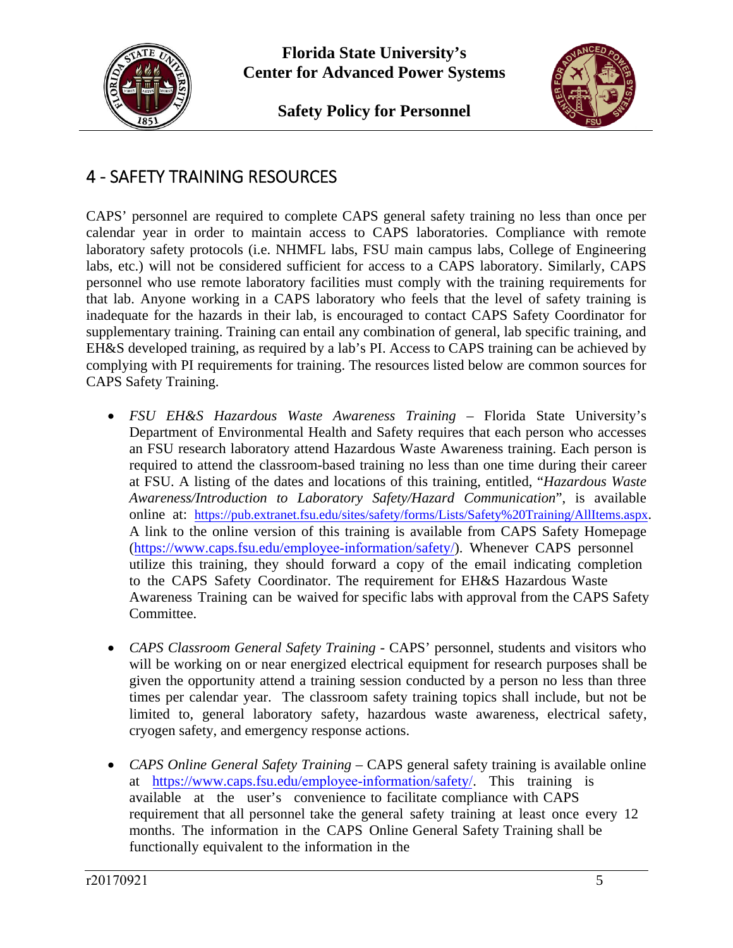

**Safety Policy for Personnel** 



## 4 ‐ SAFETY TRAINING RESOURCES

CAPS' personnel are required to complete CAPS general safety training no less than once per calendar year in order to maintain access to CAPS laboratories. Compliance with remote laboratory safety protocols (i.e. NHMFL labs, FSU main campus labs, College of Engineering labs, etc.) will not be considered sufficient for access to a CAPS laboratory. Similarly, CAPS personnel who use remote laboratory facilities must comply with the training requirements for that lab. Anyone working in a CAPS laboratory who feels that the level of safety training is inadequate for the hazards in their lab, is encouraged to contact CAPS Safety Coordinator for supplementary training. Training can entail any combination of general, lab specific training, and EH&S developed training, as required by a lab's PI. Access to CAPS training can be achieved by complying with PI requirements for training. The resources listed below are common sources for CAPS Safety Training.

- *FSU EH&S Hazardous Waste Awareness Training* Florida State University's Department of Environmental Health and Safety requires that each person who accesses an FSU research laboratory attend Hazardous Waste Awareness training. Each person is required to attend the classroom-based training no less than one time during their career at FSU. A listing of the dates and locations of this training, entitled, "*Hazardous Waste Awareness/Introduction to Laboratory Safety/Hazard Communication*", is available online at: https://pub.extranet.fsu.edu/sites/safety/forms/Lists/Safety%20Training/AllItems.aspx. A link to the online version of this training is available from CAPS Safety Homepage (https://www.caps.fsu.edu/employee-information/safety/). Whenever CAPS personnel utilize this training, they should forward a copy of the email indicating completion to the CAPS Safety Coordinator. The requirement for EH&S Hazardous Waste Awareness Training can be waived for specific labs with approval from the CAPS Safety Committee.
- *CAPS Classroom General Safety Training -* CAPS' personnel, students and visitors who will be working on or near energized electrical equipment for research purposes shall be given the opportunity attend a training session conducted by a person no less than three times per calendar year. The classroom safety training topics shall include, but not be limited to, general laboratory safety, hazardous waste awareness, electrical safety, cryogen safety, and emergency response actions.
- *CAPS Online General Safety Training* CAPS general safety training is available online at https://www.caps.fsu.edu/employee-information/safety/. This training is available at the user's convenience to facilitate compliance with CAPS requirement that all personnel take the general safety training at least once every 12 months. The information in the CAPS Online General Safety Training shall be functionally equivalent to the information in the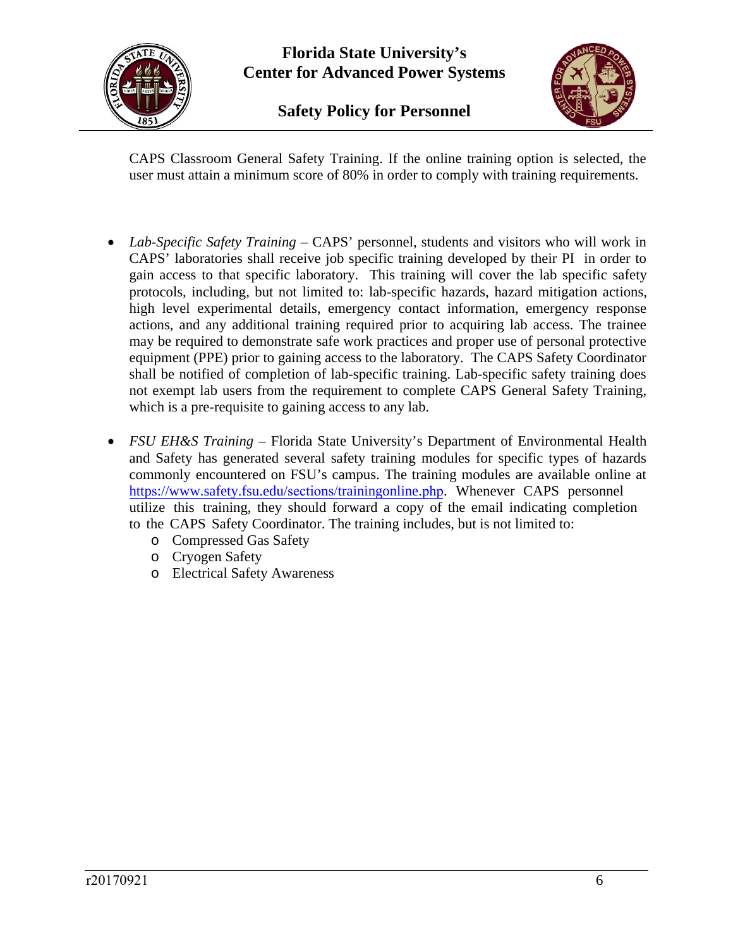

**Safety Policy for Personnel** 



CAPS Classroom General Safety Training. If the online training option is selected, the user must attain a minimum score of 80% in order to comply with training requirements.

- *Lab-Specific Safety Training* CAPS' personnel, students and visitors who will work in CAPS' laboratories shall receive job specific training developed by their PI in order to gain access to that specific laboratory. This training will cover the lab specific safety protocols, including, but not limited to: lab-specific hazards, hazard mitigation actions, high level experimental details, emergency contact information, emergency response actions, and any additional training required prior to acquiring lab access. The trainee may be required to demonstrate safe work practices and proper use of personal protective equipment (PPE) prior to gaining access to the laboratory. The CAPS Safety Coordinator shall be notified of completion of lab-specific training. Lab-specific safety training does not exempt lab users from the requirement to complete CAPS General Safety Training, which is a pre-requisite to gaining access to any lab.
- *FSU EH&S Training* Florida State University's Department of Environmental Health and Safety has generated several safety training modules for specific types of hazards commonly encountered on FSU's campus. The training modules are available online at https://www.safety.fsu.edu/sections/trainingonline.php. Whenever CAPS personnel utilize this training, they should forward a copy of the email indicating completion to the CAPS Safety Coordinator. The training includes, but is not limited to:
	- o Compressed Gas Safety
	- o Cryogen Safety
	- o Electrical Safety Awareness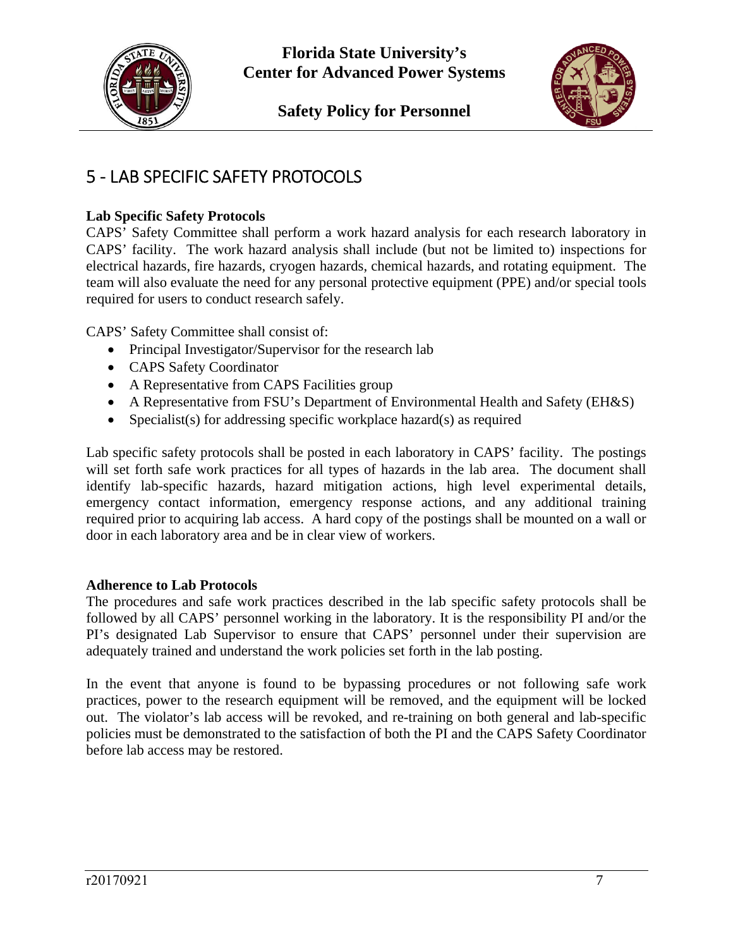



# 5 ‐ LAB SPECIFIC SAFETY PROTOCOLS

## **Lab Specific Safety Protocols**

CAPS' Safety Committee shall perform a work hazard analysis for each research laboratory in CAPS' facility. The work hazard analysis shall include (but not be limited to) inspections for electrical hazards, fire hazards, cryogen hazards, chemical hazards, and rotating equipment. The team will also evaluate the need for any personal protective equipment (PPE) and/or special tools required for users to conduct research safely.

CAPS' Safety Committee shall consist of:

- Principal Investigator/Supervisor for the research lab
- CAPS Safety Coordinator
- A Representative from CAPS Facilities group
- A Representative from FSU's Department of Environmental Health and Safety (EH&S)
- Specialist(s) for addressing specific workplace hazard(s) as required

Lab specific safety protocols shall be posted in each laboratory in CAPS' facility. The postings will set forth safe work practices for all types of hazards in the lab area. The document shall identify lab-specific hazards, hazard mitigation actions, high level experimental details, emergency contact information, emergency response actions, and any additional training required prior to acquiring lab access. A hard copy of the postings shall be mounted on a wall or door in each laboratory area and be in clear view of workers.

### **Adherence to Lab Protocols**

The procedures and safe work practices described in the lab specific safety protocols shall be followed by all CAPS' personnel working in the laboratory. It is the responsibility PI and/or the PI's designated Lab Supervisor to ensure that CAPS' personnel under their supervision are adequately trained and understand the work policies set forth in the lab posting.

In the event that anyone is found to be bypassing procedures or not following safe work practices, power to the research equipment will be removed, and the equipment will be locked out. The violator's lab access will be revoked, and re-training on both general and lab-specific policies must be demonstrated to the satisfaction of both the PI and the CAPS Safety Coordinator before lab access may be restored.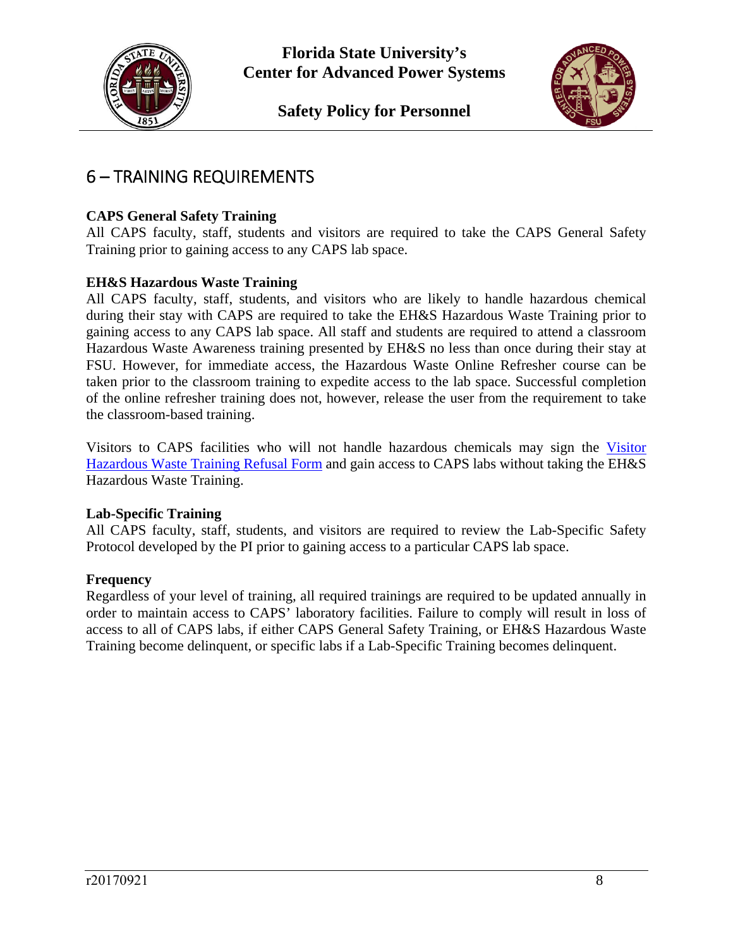



## 6 – TRAINING REQUIREMENTS

## **CAPS General Safety Training**

All CAPS faculty, staff, students and visitors are required to take the CAPS General Safety Training prior to gaining access to any CAPS lab space.

### **EH&S Hazardous Waste Training**

All CAPS faculty, staff, students, and visitors who are likely to handle hazardous chemical during their stay with CAPS are required to take the EH&S Hazardous Waste Training prior to gaining access to any CAPS lab space. All staff and students are required to attend a classroom Hazardous Waste Awareness training presented by EH&S no less than once during their stay at FSU. However, for immediate access, the Hazardous Waste Online Refresher course can be taken prior to the classroom training to expedite access to the lab space. Successful completion of the online refresher training does not, however, release the user from the requirement to take the classroom-based training.

Visitors to CAPS facilities who will not handle hazardous chemicals may sign the Visitor Hazardous Waste Training Refusal Form and gain access to CAPS labs without taking the EH&S Hazardous Waste Training.

#### **Lab-Specific Training**

All CAPS faculty, staff, students, and visitors are required to review the Lab-Specific Safety Protocol developed by the PI prior to gaining access to a particular CAPS lab space.

#### **Frequency**

Regardless of your level of training, all required trainings are required to be updated annually in order to maintain access to CAPS' laboratory facilities. Failure to comply will result in loss of access to all of CAPS labs, if either CAPS General Safety Training, or EH&S Hazardous Waste Training become delinquent, or specific labs if a Lab-Specific Training becomes delinquent.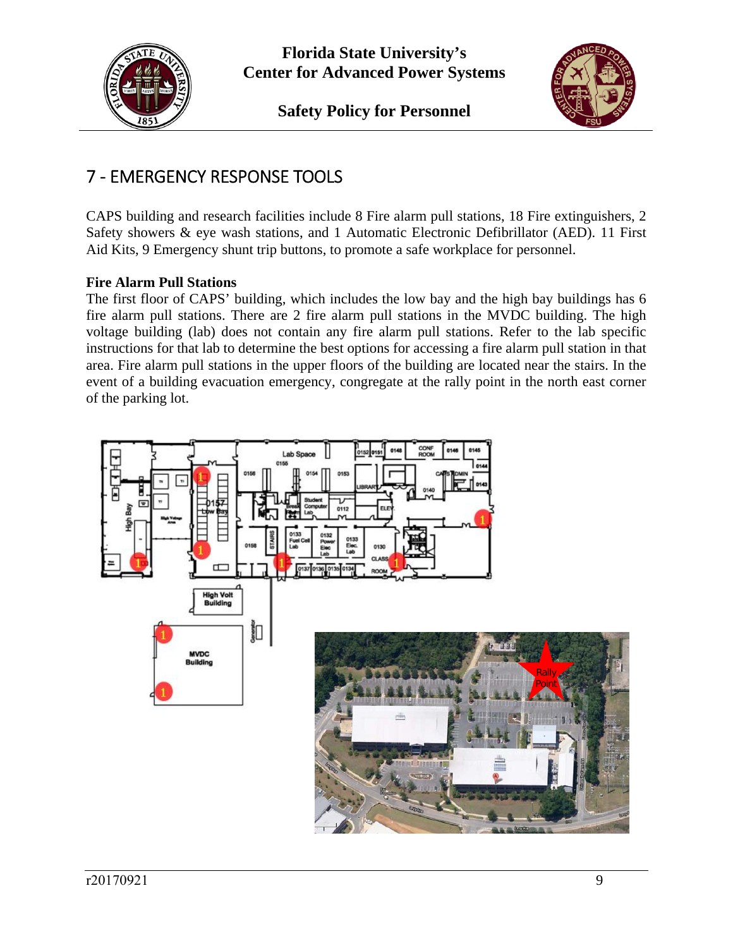



## 7 ‐ EMERGENCY RESPONSE TOOLS

CAPS building and research facilities include 8 Fire alarm pull stations, 18 Fire extinguishers, 2 Safety showers & eye wash stations, and 1 Automatic Electronic Defibrillator (AED). 11 First Aid Kits, 9 Emergency shunt trip buttons, to promote a safe workplace for personnel.

## **Fire Alarm Pull Stations**

The first floor of CAPS' building, which includes the low bay and the high bay buildings has 6 fire alarm pull stations. There are 2 fire alarm pull stations in the MVDC building. The high voltage building (lab) does not contain any fire alarm pull stations. Refer to the lab specific instructions for that lab to determine the best options for accessing a fire alarm pull station in that area. Fire alarm pull stations in the upper floors of the building are located near the stairs. In the event of a building evacuation emergency, congregate at the rally point in the north east corner of the parking lot.

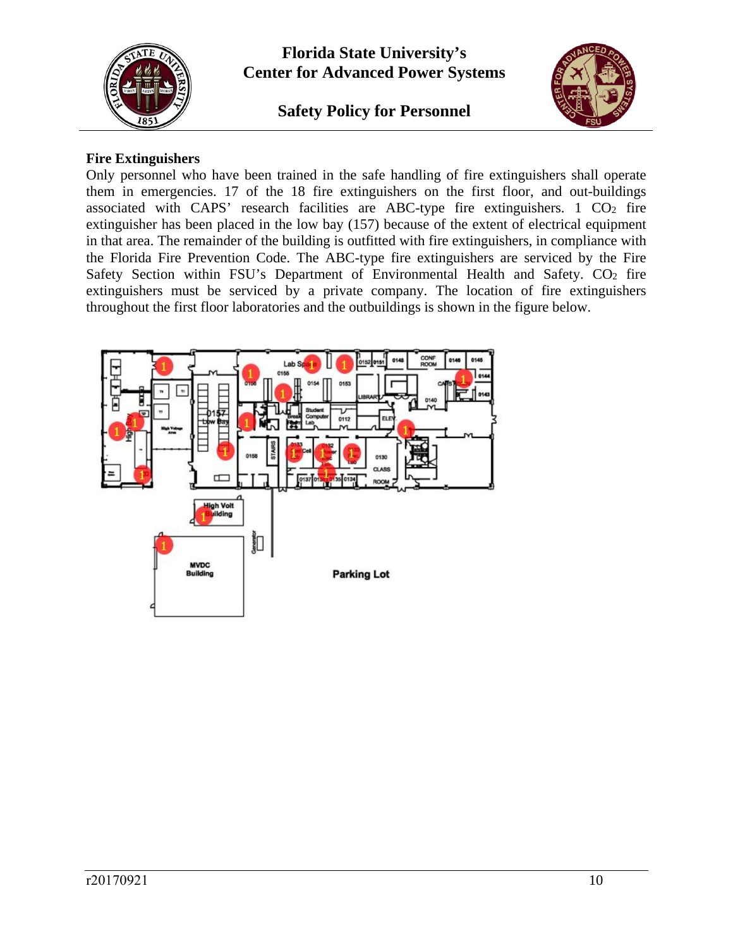

## **Safety Policy for Personnel**



#### **Fire Extinguishers**

Only personnel who have been trained in the safe handling of fire extinguishers shall operate them in emergencies. 17 of the 18 fire extinguishers on the first floor, and out-buildings associated with CAPS' research facilities are ABC-type fire extinguishers.  $1 \text{ CO}_2$  fire extinguisher has been placed in the low bay (157) because of the extent of electrical equipment in that area. The remainder of the building is outfitted with fire extinguishers, in compliance with the Florida Fire Prevention Code. The ABC-type fire extinguishers are serviced by the Fire Safety Section within FSU's Department of Environmental Health and Safety.  $CO<sub>2</sub>$  fire extinguishers must be serviced by a private company. The location of fire extinguishers throughout the first floor laboratories and the outbuildings is shown in the figure below.

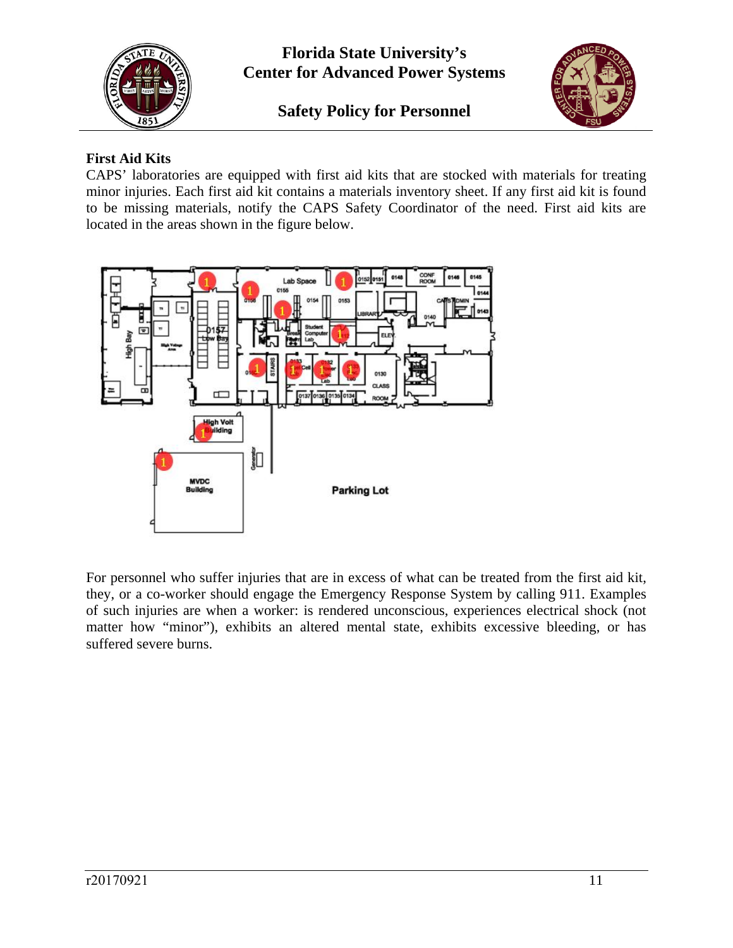



## **First Aid Kits**

CAPS' laboratories are equipped with first aid kits that are stocked with materials for treating minor injuries. Each first aid kit contains a materials inventory sheet. If any first aid kit is found to be missing materials, notify the CAPS Safety Coordinator of the need. First aid kits are located in the areas shown in the figure below.



For personnel who suffer injuries that are in excess of what can be treated from the first aid kit, they, or a co-worker should engage the Emergency Response System by calling 911. Examples of such injuries are when a worker: is rendered unconscious, experiences electrical shock (not matter how "minor"), exhibits an altered mental state, exhibits excessive bleeding, or has suffered severe burns.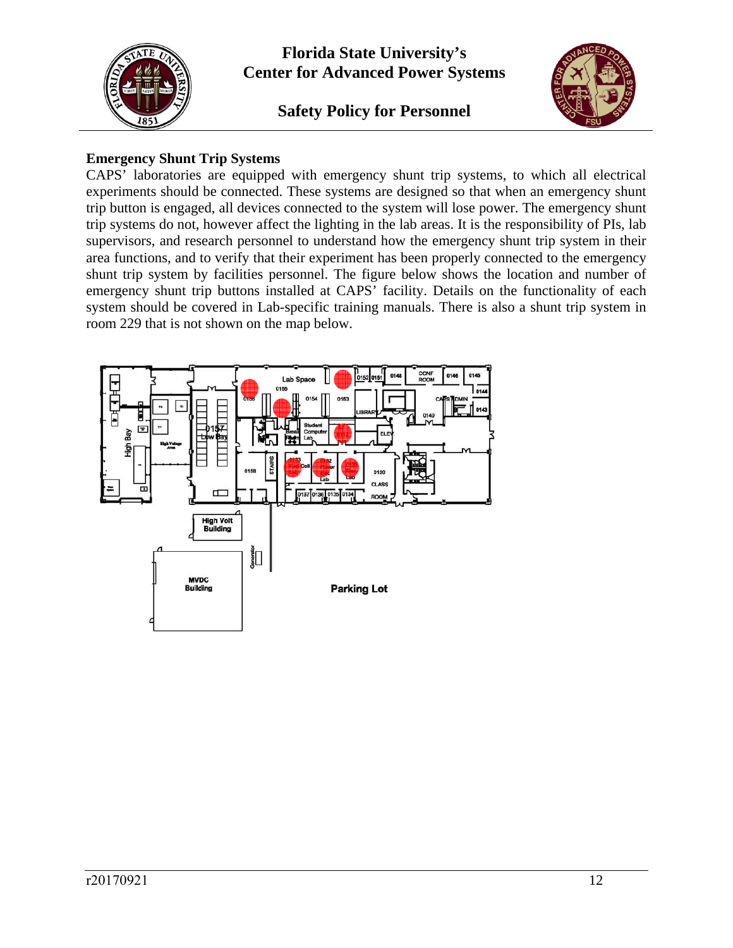

## **Safety Policy for Personnel**



#### **Emergency Shunt Trip Systems**

CAPS' laboratories are equipped with emergency shunt trip systems, to which all electrical experiments should be connected. These systems are designed so that when an emergency shunt trip button is engaged, all devices connected to the system will lose power. The emergency shunt trip systems do not, however affect the lighting in the lab areas. It is the responsibility of PIs, lab supervisors, and research personnel to understand how the emergency shunt trip system in their area functions, and to verify that their experiment has been properly connected to the emergency shunt trip system by facilities personnel. The figure below shows the location and number of emergency shunt trip buttons installed at CAPS' facility. Details on the functionality of each system should be covered in Lab-specific training manuals. There is also a shunt trip system in room 229 that is not shown on the map below.

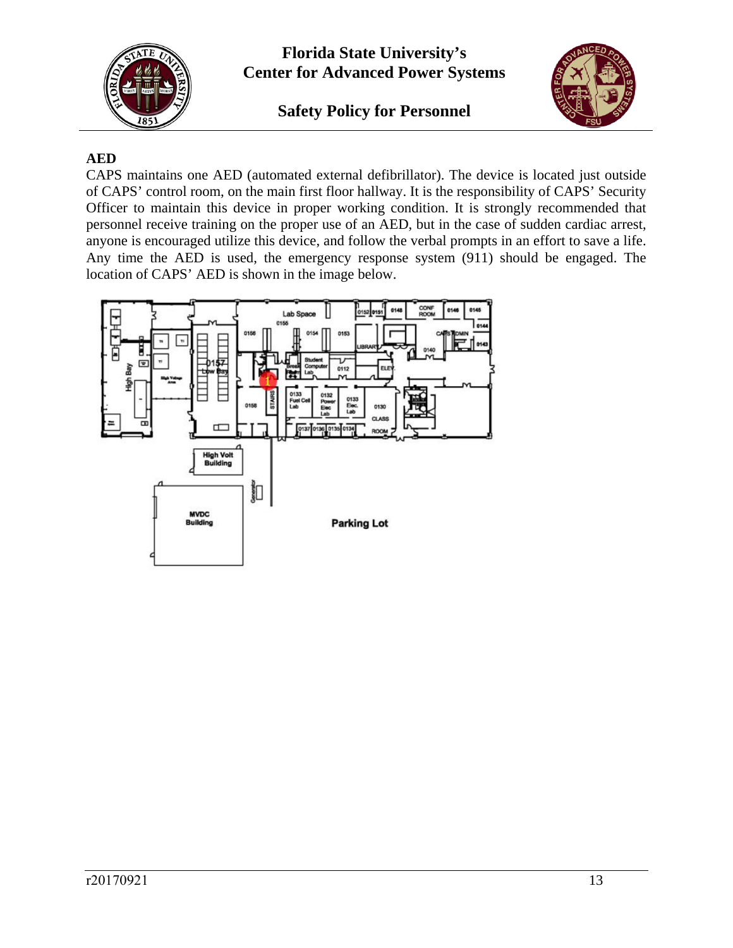

**Safety Policy for Personnel** 



## **AED**

CAPS maintains one AED (automated external defibrillator). The device is located just outside of CAPS' control room, on the main first floor hallway. It is the responsibility of CAPS' Security Officer to maintain this device in proper working condition. It is strongly recommended that personnel receive training on the proper use of an AED, but in the case of sudden cardiac arrest, anyone is encouraged utilize this device, and follow the verbal prompts in an effort to save a life. Any time the AED is used, the emergency response system (911) should be engaged. The location of CAPS' AED is shown in the image below.

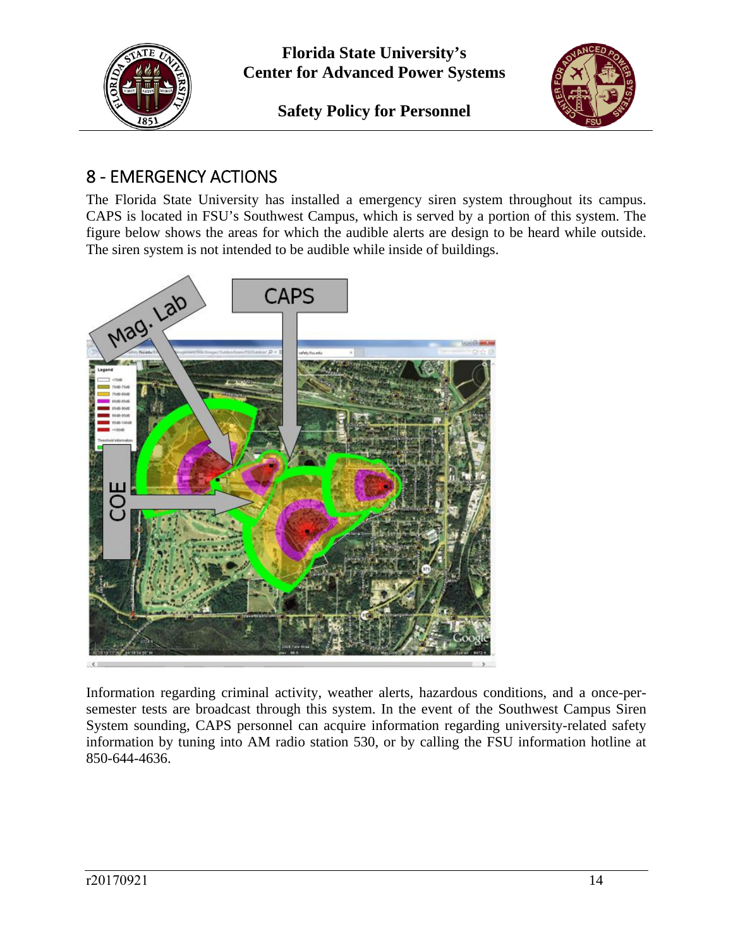



# 8 ‐ EMERGENCY ACTIONS

The Florida State University has installed a emergency siren system throughout its campus. CAPS is located in FSU's Southwest Campus, which is served by a portion of this system. The figure below shows the areas for which the audible alerts are design to be heard while outside. The siren system is not intended to be audible while inside of buildings.



Information regarding criminal activity, weather alerts, hazardous conditions, and a once-persemester tests are broadcast through this system. In the event of the Southwest Campus Siren System sounding, CAPS personnel can acquire information regarding university-related safety information by tuning into AM radio station 530, or by calling the FSU information hotline at 850-644-4636.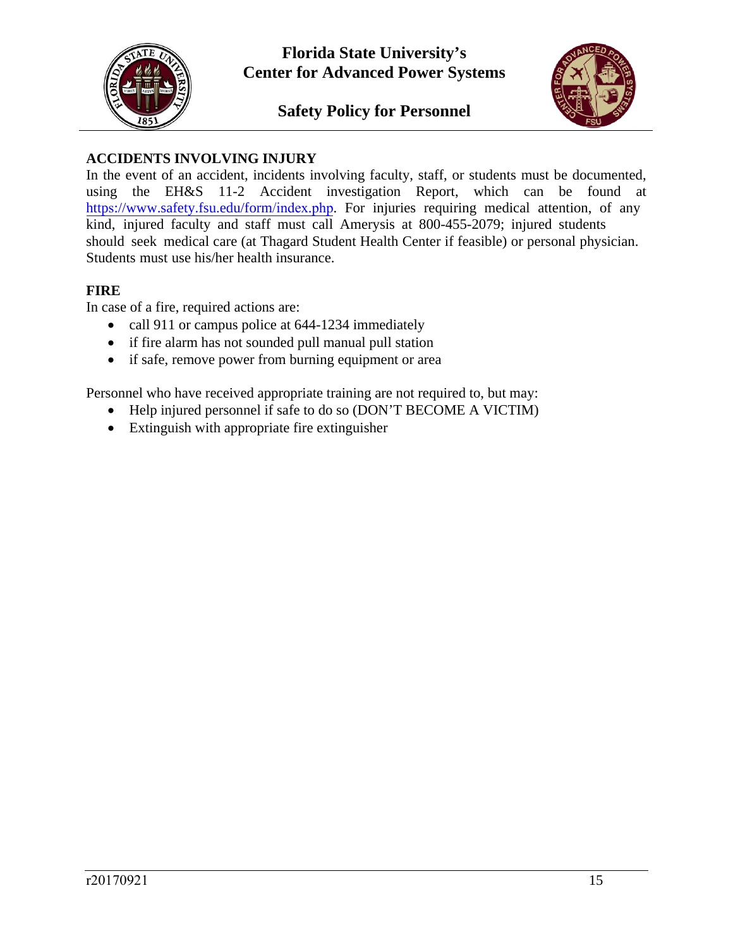



## **ACCIDENTS INVOLVING INJURY**

In the event of an accident, incidents involving faculty, staff, or students must be documented, using the EH&S 11-2 Accident investigation Report, which can be found at https://www.safety.fsu.edu/form/index.php. For injuries requiring medical attention, of any kind, injured faculty and staff must call Amerysis at 800-455-2079; injured students should seek medical care (at Thagard Student Health Center if feasible) or personal physician. Students must use his/her health insurance.

### **FIRE**

In case of a fire, required actions are:

- call 911 or campus police at 644-1234 immediately
- if fire alarm has not sounded pull manual pull station
- if safe, remove power from burning equipment or area

Personnel who have received appropriate training are not required to, but may:

- Help injured personnel if safe to do so (DON'T BECOME A VICTIM)
- Extinguish with appropriate fire extinguisher